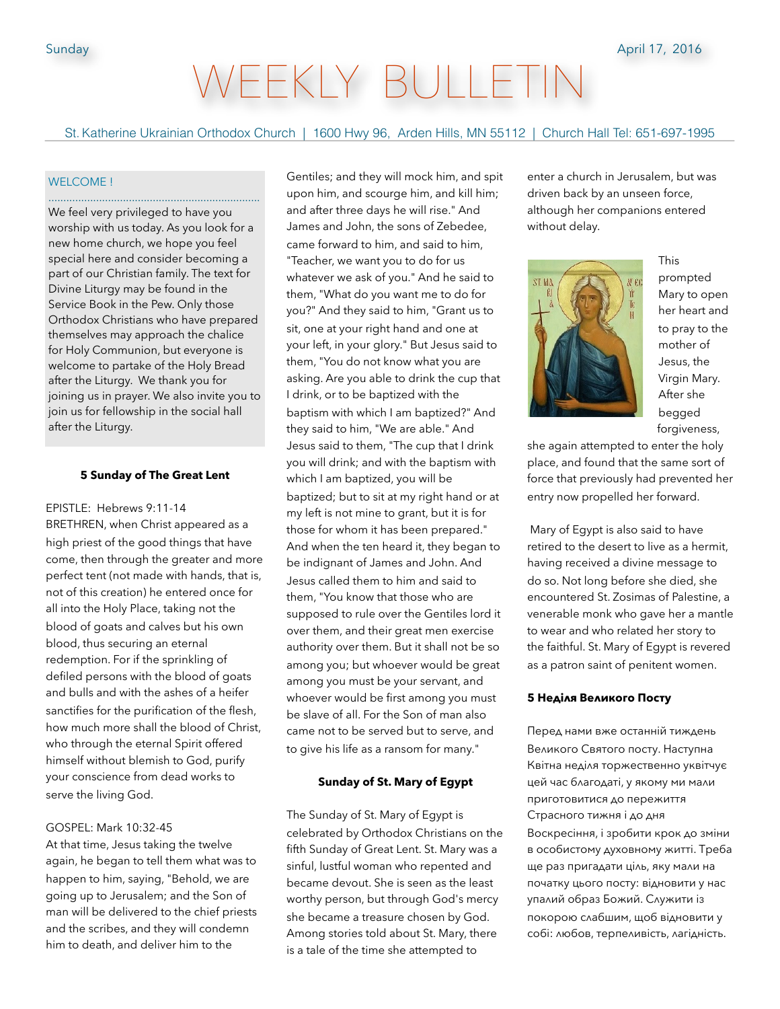# WEEKLY BULLET

St. Katherine Ukrainian Orthodox Church | 1600 Hwy 96, Arden Hills, MN 55112 | Church Hall Tel: 651-697-1995

#### WELCOME !

We feel very privileged to have you worship with us today. As you look for a new home church, we hope you feel special here and consider becoming a part of our Christian family. The text for Divine Liturgy may be found in the Service Book in the Pew. Only those Orthodox Christians who have prepared themselves may approach the chalice for Holy Communion, but everyone is welcome to partake of the Holy Bread after the Liturgy. We thank you for joining us in prayer. We also invite you to join us for fellowship in the social hall after the Liturgy.

.......................................................................

#### **5 Sunday of The Great Lent**

EPISTLE: Hebrews 9:11-14 BRETHREN, when Christ appeared as a high priest of the good things that have come, then through the greater and more perfect tent (not made with hands, that is, not of this creation) he entered once for all into the Holy Place, taking not the blood of goats and calves but his own blood, thus securing an eternal redemption. For if the sprinkling of defiled persons with the blood of goats and bulls and with the ashes of a heifer sanctifies for the purification of the flesh, how much more shall the blood of Christ, who through the eternal Spirit offered himself without blemish to God, purify your conscience from dead works to serve the living God.

# GOSPEL: Mark 10:32-45

At that time, Jesus taking the twelve again, he began to tell them what was to happen to him, saying, "Behold, we are going up to Jerusalem; and the Son of man will be delivered to the chief priests and the scribes, and they will condemn him to death, and deliver him to the

Gentiles; and they will mock him, and spit upon him, and scourge him, and kill him; and after three days he will rise." And James and John, the sons of Zebedee, came forward to him, and said to him, "Teacher, we want you to do for us whatever we ask of you." And he said to them, "What do you want me to do for you?" And they said to him, "Grant us to sit, one at your right hand and one at your left, in your glory." But Jesus said to them, "You do not know what you are asking. Are you able to drink the cup that I drink, or to be baptized with the baptism with which I am baptized?" And they said to him, "We are able." And Jesus said to them, "The cup that I drink you will drink; and with the baptism with which I am baptized, you will be baptized; but to sit at my right hand or at my left is not mine to grant, but it is for those for whom it has been prepared." And when the ten heard it, they began to be indignant of James and John. And Jesus called them to him and said to them, "You know that those who are supposed to rule over the Gentiles lord it over them, and their great men exercise authority over them. But it shall not be so among you; but whoever would be great among you must be your servant, and whoever would be first among you must be slave of all. For the Son of man also came not to be served but to serve, and to give his life as a ransom for many."

#### **Sunday of St. Mary of Egypt**

The Sunday of St. Mary of Egypt is celebrated by Orthodox Christians on the fifth Sunday of Great Lent. St. Mary was a sinful, lustful woman who repented and became devout. She is seen as the least worthy person, but through God's mercy she became a treasure chosen by God. Among stories told about St. Mary, there is a tale of the time she attempted to

enter a church in Jerusalem, but was driven back by an unseen force, although her companions entered without delay.



This prompted Mary to open her heart and to pray to the mother of Jesus, the Virgin Mary. After she begged forgiveness,

she again attempted to enter the holy place, and found that the same sort of force that previously had prevented her entry now propelled her forward.

 Mary of Egypt is also said to have retired to the desert to live as a hermit, having received a divine message to do so. Not long before she died, she encountered St. Zosimas of Palestine, a venerable monk who gave her a mantle to wear and who related her story to the faithful. St. Mary of Egypt is revered as a patron saint of penitent women.

#### **5 Неділя Великого Посту**

Перед нами вже останній тиждень Великого Святого посту. Наступна Квітна неділя торжественно уквітчує цей час благодаті, у якому ми мали приготовитися до пережиття Страсного тижня і до дня Воскресіння, і зробити крок до зміни в особистому духовному житті. Треба ще раз пригадати ціль, яку мали на початку цього посту: відновити у нас упалий образ Божий. Служити із покорою слабшим, щоб відновити у собі: любов, терпеливість, лагідність.